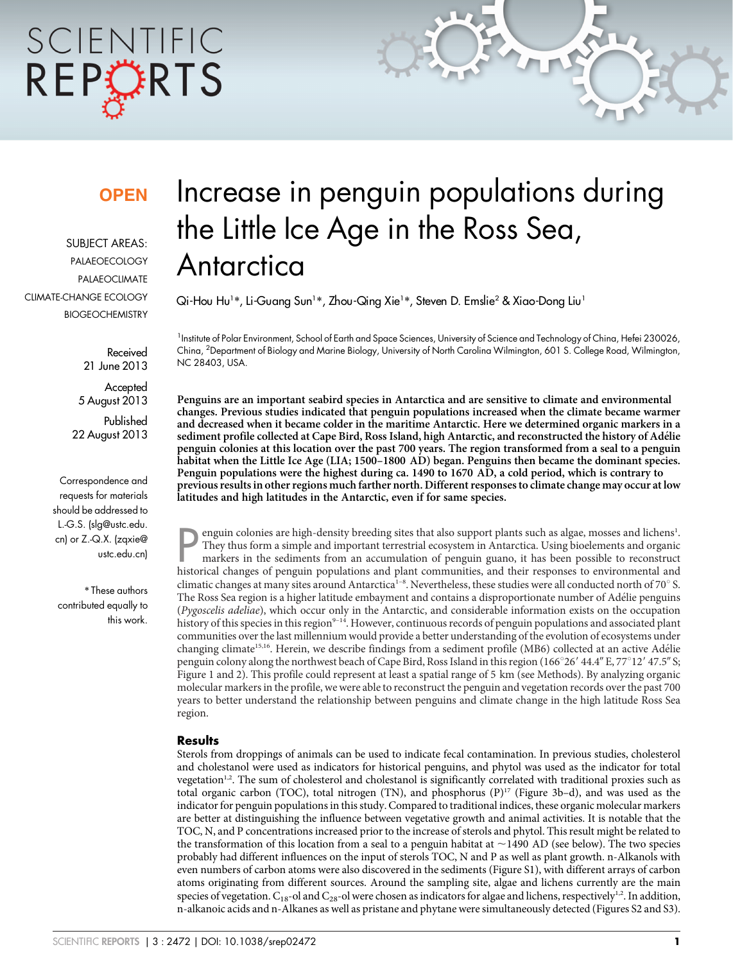# SCIENTIFIC REPORTS

### **OPEN**

SUBJECT AREAS: PALAEOECOLOGY PALAEOCLIMATE CLIMATE-CHANGE ECOLOGY **BIOGEOCHEMISTRY** 

> Received 21 June 2013

**Accepted** 5 August 2013 Published 22 August 2013

Correspondence and requests for materials should be addressed to L.-G.S. (slg@ustc.edu. cn) or Z.-Q.X. (zqxie@ ustc.edu.cn)

\* These authors contributed equally to this work.

## Increase in penguin populations during the Little Ice Age in the Ross Sea, **Antarctica**

Qi-Hou Hu1\*, Li-Guang Sun1\*, Zhou-Qing Xie1\*, Steven D. Emslie<sup>2</sup> & Xiao-Dong Liu1

<sup>1</sup>Institute of Polar Environment, School of Earth and Space Sciences, University of Science and Technology of China, Hefei 230026, China, <sup>2</sup>Department of Biology and Marine Biology, University of North Carolina Wilmington, 601 S. College Road, Wilmington, NC 28403, USA.

Penguins are an important seabird species in Antarctica and are sensitive to climate and environmental changes. Previous studies indicated that penguin populations increased when the climate became warmer and decreased when it became colder in the maritime Antarctic. Here we determined organic markers in a sediment profile collected at Cape Bird, Ross Island, high Antarctic, and reconstructed the history of Adélie penguin colonies at this location over the past 700 years. The region transformed from a seal to a penguin habitat when the Little Ice Age (LIA; 1500–1800 AD) began. Penguins then became the dominant species. Penguin populations were the highest during ca. 1490 to 1670 AD, a cold period, which is contrary to previous results in other regions much farther north. Different responses to climate change may occur at low latitudes and high latitudes in the Antarctic, even if for same species.

**Physical changes of penguin colonies are high-density breeding sites that also support plants such as algae, mosses and lichens<sup>1</sup>. They thus form a simple and important terrestrial ecosystem in Antarctica. Using bioeleme** enguin colonies are high-density breeding sites that also support plants such as algae, mosses and lichens<sup>1</sup>. They thus form a simple and important terrestrial ecosystem in Antarctica. Using bioelements and organic markers in the sediments from an accumulation of penguin guano, it has been possible to reconstruct climatic changes at many sites around Antarctica<sup>1-8</sup>. Nevertheless, these studies were all conducted north of 70° S. The Ross Sea region is a higher latitude embayment and contains a disproportionate number of Adélie penguins (Pygoscelis adeliae), which occur only in the Antarctic, and considerable information exists on the occupation history of this species in this region<sup>9-14</sup>. However, continuous records of penguin populations and associated plant communities over the last millennium would provide a better understanding of the evolution of ecosystems under changing climate<sup>15,16</sup>. Herein, we describe findings from a sediment profile (MB6) collected at an active Adélie penguin colony along the northwest beach of Cape Bird, Ross Island in this region (166 $^{\circ}26'$  44.4" E, 77 $^{\circ}12'$  47.5" S; Figure 1 and 2). This profile could represent at least a spatial range of 5 km (see Methods). By analyzing organic molecular markers in the profile, we were able to reconstruct the penguin and vegetation records over the past 700 years to better understand the relationship between penguins and climate change in the high latitude Ross Sea region.

#### **Results**

Sterols from droppings of animals can be used to indicate fecal contamination. In previous studies, cholesterol and cholestanol were used as indicators for historical penguins, and phytol was used as the indicator for total vegetation<sup>1,2</sup>. The sum of cholesterol and cholestanol is significantly correlated with traditional proxies such as total organic carbon (TOC), total nitrogen (TN), and phosphorus  $(P)^{17}$  (Figure 3b–d), and was used as the indicator for penguin populations in this study. Compared to traditional indices, these organic molecular markers are better at distinguishing the influence between vegetative growth and animal activities. It is notable that the TOC, N, and P concentrations increased prior to the increase of sterols and phytol. This result might be related to the transformation of this location from a seal to a penguin habitat at  $\sim$ 1490 AD (see below). The two species probably had different influences on the input of sterols TOC, N and P as well as plant growth. n-Alkanols with even numbers of carbon atoms were also discovered in the sediments (Figure S1), with different arrays of carbon atoms originating from different sources. Around the sampling site, algae and lichens currently are the main species of vegetation.  $C_{18}$ -ol and  $C_{28}$ -ol were chosen as indicators for algae and lichens, respectively<sup>1,2</sup>. In addition, n-alkanoic acids and n-Alkanes as well as pristane and phytane were simultaneously detected (Figures S2 and S3).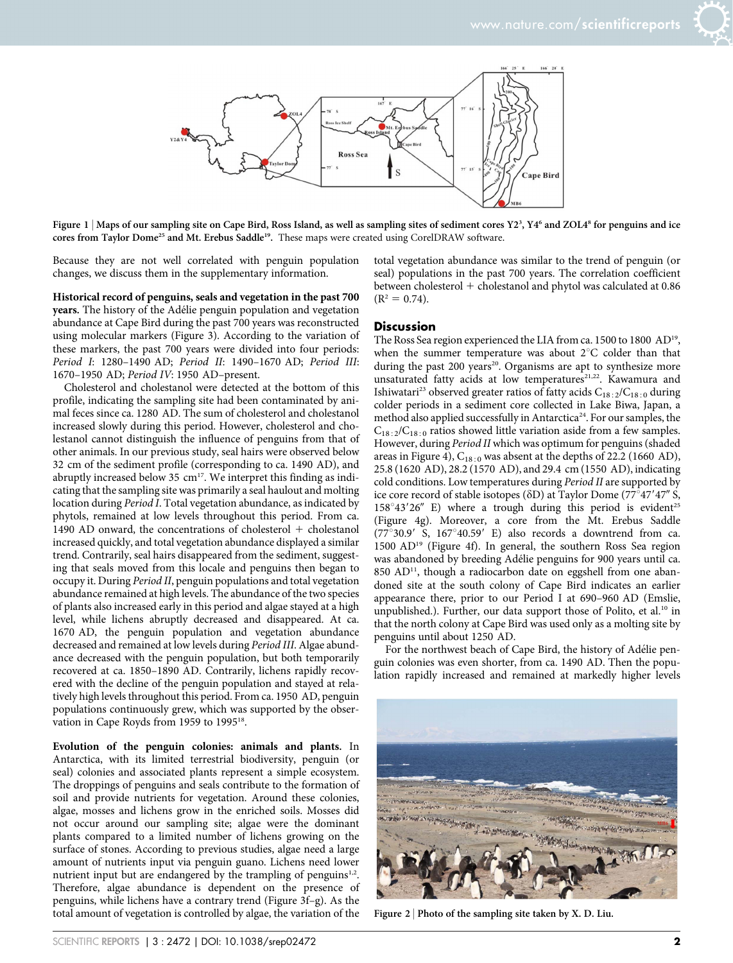

Figure  $1 \, |$  Maps of our sampling site on Cape Bird, Ross Island, as well as sampling sites of sediment cores Y2 $^3$ , Y4 $^6$  and ZOL4 $^8$  for penguins and ice cores from Taylor Dome<sup>25</sup> and Mt. Erebus Saddle<sup>19</sup>. These maps were created using CorelDRAW software.

Because they are not well correlated with penguin population changes, we discuss them in the supplementary information.

Historical record of penguins, seals and vegetation in the past 700 years. The history of the Adélie penguin population and vegetation abundance at Cape Bird during the past 700 years was reconstructed using molecular markers (Figure 3). According to the variation of these markers, the past 700 years were divided into four periods: Period I: 1280–1490 AD; Period II: 1490–1670 AD; Period III: 1670–1950 AD; Period IV: 1950 AD–present.

Cholesterol and cholestanol were detected at the bottom of this profile, indicating the sampling site had been contaminated by animal feces since ca. 1280 AD. The sum of cholesterol and cholestanol increased slowly during this period. However, cholesterol and cholestanol cannot distinguish the influence of penguins from that of other animals. In our previous study, seal hairs were observed below 32 cm of the sediment profile (corresponding to ca. 1490 AD), and abruptly increased below 35  $\text{cm}^{17}$ . We interpret this finding as indicating that the sampling site was primarily a seal haulout and molting location during Period I. Total vegetation abundance, as indicated by phytols, remained at low levels throughout this period. From ca. 1490 AD onward, the concentrations of cholesterol  $+$  cholestanol increased quickly, and total vegetation abundance displayed a similar trend. Contrarily, seal hairs disappeared from the sediment, suggesting that seals moved from this locale and penguins then began to occupy it. During Period II, penguin populations and total vegetation abundance remained at high levels. The abundance of the two species of plants also increased early in this period and algae stayed at a high level, while lichens abruptly decreased and disappeared. At ca. 1670 AD, the penguin population and vegetation abundance decreased and remained at low levels during Period III. Algae abundance decreased with the penguin population, but both temporarily recovered at ca. 1850–1890 AD. Contrarily, lichens rapidly recovered with the decline of the penguin population and stayed at relatively high levels throughout this period. From ca. 1950 AD, penguin populations continuously grew, which was supported by the observation in Cape Royds from 1959 to 1995<sup>18</sup>.

Evolution of the penguin colonies: animals and plants. In Antarctica, with its limited terrestrial biodiversity, penguin (or seal) colonies and associated plants represent a simple ecosystem. The droppings of penguins and seals contribute to the formation of soil and provide nutrients for vegetation. Around these colonies, algae, mosses and lichens grow in the enriched soils. Mosses did not occur around our sampling site; algae were the dominant plants compared to a limited number of lichens growing on the surface of stones. According to previous studies, algae need a large amount of nutrients input via penguin guano. Lichens need lower nutrient input but are endangered by the trampling of penguins $1,2$ . Therefore, algae abundance is dependent on the presence of penguins, while lichens have a contrary trend (Figure 3f–g). As the total amount of vegetation is controlled by algae, the variation of the

total vegetation abundance was similar to the trend of penguin (or seal) populations in the past 700 years. The correlation coefficient between cholesterol  $+$  cholestanol and phytol was calculated at 0.86  $(R^2 = 0.74)$ .

#### **Discussion**

The Ross Sea region experienced the LIA from ca. 1500 to 1800 AD<sup>19</sup>, when the summer temperature was about  $2^{\circ}C$  colder than that during the past 200 years<sup>20</sup>. Organisms are apt to synthesize more unsaturated fatty acids at low temperatures<sup>21,22</sup>. Kawamura and Ishiwatari<sup>23</sup> observed greater ratios of fatty acids  $C_{18:2}/C_{18:0}$  during colder periods in a sediment core collected in Lake Biwa, Japan, a method also applied successfully in Antarctica<sup>24</sup>. For our samples, the  $C_{18:2}/C_{18:0}$  ratios showed little variation aside from a few samples. However, during Period II which was optimum for penguins (shaded areas in Figure 4),  $C_{18:0}$  was absent at the depths of 22.2 (1660 AD), 25.8 (1620 AD), 28.2 (1570 AD), and 29.4 cm (1550 AD), indicating cold conditions. Low temperatures during Period II are supported by ice core record of stable isotopes ( $\delta$ D) at Taylor Dome ( $77^{\circ}47'47''$  S,  $158^{\circ}43'26''$  E) where a trough during this period is evident<sup>25</sup> (Figure 4g). Moreover, a core from the Mt. Erebus Saddle  $(77^{\circ}30.9^{\prime}$  S,  $167^{\circ}40.59^{\prime}$  E) also records a downtrend from ca. 1500 AD19 (Figure 4f). In general, the southern Ross Sea region was abandoned by breeding Adélie penguins for 900 years until ca.  $850$  AD<sup>11</sup>, though a radiocarbon date on eggshell from one abandoned site at the south colony of Cape Bird indicates an earlier appearance there, prior to our Period I at 690–960 AD (Emslie, unpublished.). Further, our data support those of Polito, et al.<sup>10</sup> in that the north colony at Cape Bird was used only as a molting site by penguins until about 1250 AD.

For the northwest beach of Cape Bird, the history of Adélie penguin colonies was even shorter, from ca. 1490 AD. Then the population rapidly increased and remained at markedly higher levels



Figure  $2$  | Photo of the sampling site taken by X. D. Liu.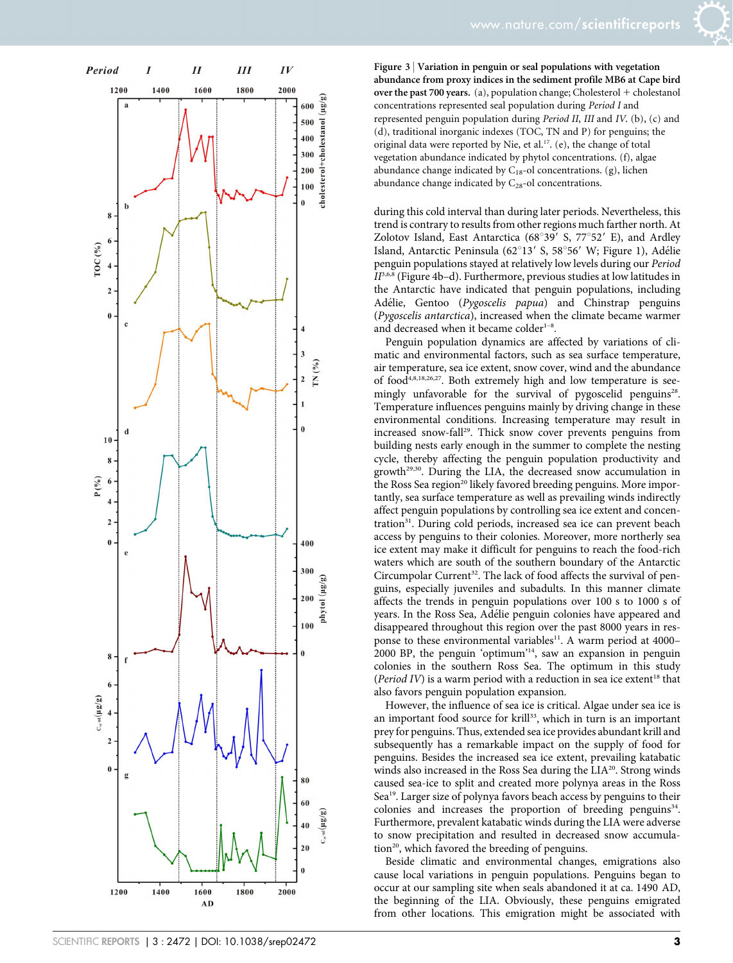



Figure 3 <sup>|</sup> Variation in penguin or seal populations with vegetation abundance from proxy indices in the sediment profile MB6 at Cape bird over the past 700 years. (a), population change; Cholesterol  $+$  cholestanol concentrations represented seal population during Period I and represented penguin population during Period II, III and IV. (b), (c) and (d), traditional inorganic indexes (TOC, TN and P) for penguins; the original data were reported by Nie, et al.<sup>17</sup>. (e), the change of total vegetation abundance indicated by phytol concentrations. (f), algae abundance change indicated by  $C_{18}$ -ol concentrations. (g), lichen abundance change indicated by  $C_{28}$ -ol concentrations.

during this cold interval than during later periods. Nevertheless, this trend is contrary to results from other regions much farther north. At Zolotov Island, East Antarctica ( $68^{\circ}39'$  S,  $77^{\circ}52'$  E), and Ardley Island, Antarctic Peninsula (62°13' S, 58°56' W; Figure 1), Adélie penguin populations stayed at relatively low levels during our Period  $II^{3,6,8}$  (Figure 4b-d). Furthermore, previous studies at low latitudes in the Antarctic have indicated that penguin populations, including Adélie, Gentoo (Pygoscelis papua) and Chinstrap penguins (Pygoscelis antarctica), increased when the climate became warmer and decreased when it became colder<sup>1-8</sup>.

Penguin population dynamics are affected by variations of climatic and environmental factors, such as sea surface temperature, air temperature, sea ice extent, snow cover, wind and the abundance of food<sup>4,8,18,26,27</sup>. Both extremely high and low temperature is seemingly unfavorable for the survival of pygoscelid penguins<sup>28</sup>. Temperature influences penguins mainly by driving change in these environmental conditions. Increasing temperature may result in increased snow-fall<sup>29</sup>. Thick snow cover prevents penguins from building nests early enough in the summer to complete the nesting cycle, thereby affecting the penguin population productivity and  $growth<sup>29,30</sup>$ . During the LIA, the decreased snow accumulation in the Ross Sea region<sup>20</sup> likely favored breeding penguins. More importantly, sea surface temperature as well as prevailing winds indirectly affect penguin populations by controlling sea ice extent and concentration<sup>31</sup>. During cold periods, increased sea ice can prevent beach access by penguins to their colonies. Moreover, more northerly sea ice extent may make it difficult for penguins to reach the food-rich waters which are south of the southern boundary of the Antarctic Circumpolar Current<sup>32</sup>. The lack of food affects the survival of penguins, especially juveniles and subadults. In this manner climate affects the trends in penguin populations over 100 s to 1000 s of years. In the Ross Sea, Adélie penguin colonies have appeared and disappeared throughout this region over the past 8000 years in response to these environmental variables<sup>11</sup>. A warm period at 4000-2000 BP, the penguin 'optimum'14, saw an expansion in penguin colonies in the southern Ross Sea. The optimum in this study (Period IV) is a warm period with a reduction in sea ice extent<sup>18</sup> that also favors penguin population expansion.

However, the influence of sea ice is critical. Algae under sea ice is an important food source for krill<sup>33</sup>, which in turn is an important prey for penguins. Thus, extended sea ice provides abundant krill and subsequently has a remarkable impact on the supply of food for penguins. Besides the increased sea ice extent, prevailing katabatic winds also increased in the Ross Sea during the LIA<sup>20</sup>. Strong winds caused sea-ice to split and created more polynya areas in the Ross Sea19. Larger size of polynya favors beach access by penguins to their colonies and increases the proportion of breeding penguins $34$ . Furthermore, prevalent katabatic winds during the LIA were adverse to snow precipitation and resulted in decreased snow accumulation<sup>20</sup>, which favored the breeding of penguins.

Beside climatic and environmental changes, emigrations also cause local variations in penguin populations. Penguins began to occur at our sampling site when seals abandoned it at ca. 1490 AD, the beginning of the LIA. Obviously, these penguins emigrated from other locations. This emigration might be associated with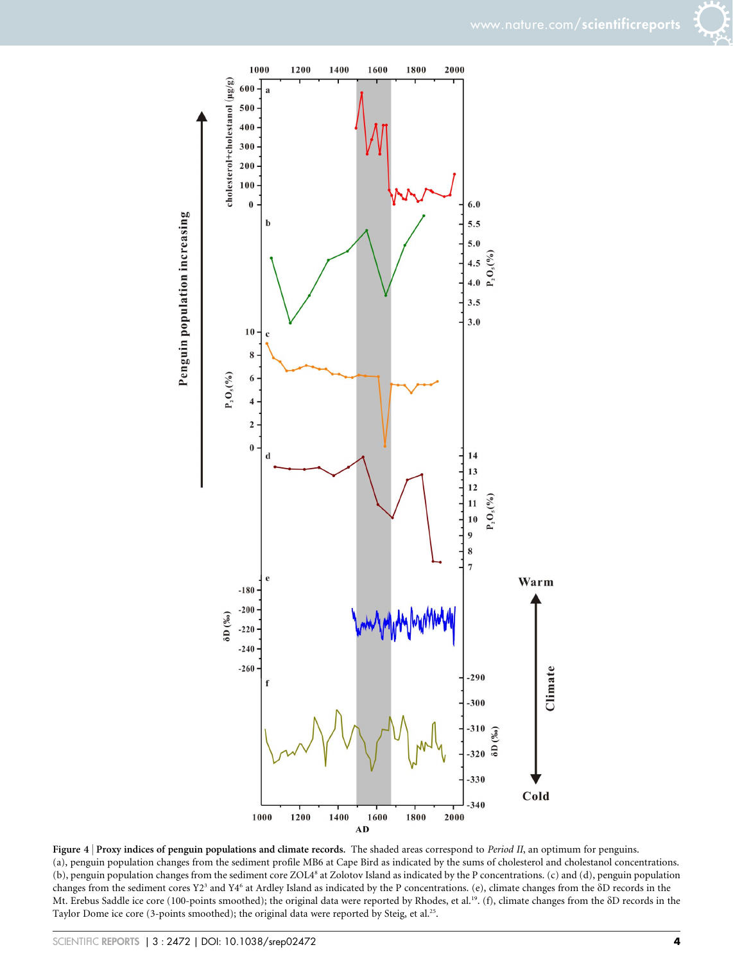

Figure 4 | Proxy indices of penguin populations and climate records. The shaded areas correspond to Period II, an optimum for penguins. (a), penguin population changes from the sediment profile MB6 at Cape Bird as indicated by the sums of cholesterol and cholestanol concentrations. (b), penguin population changes from the sediment core ZOL48 at Zolotov Island as indicated by the P concentrations. (c) and (d), penguin population changes from the sediment cores Y23 and Y46 at Ardley Island as indicated by the P concentrations. (e), climate changes from the dD records in the Mt. Erebus Saddle ice core (100-points smoothed); the original data were reported by Rhodes, et al.<sup>19</sup>. (f), climate changes from the  $\delta D$  records in the Taylor Dome ice core (3-points smoothed); the original data were reported by Steig, et al.<sup>25</sup>.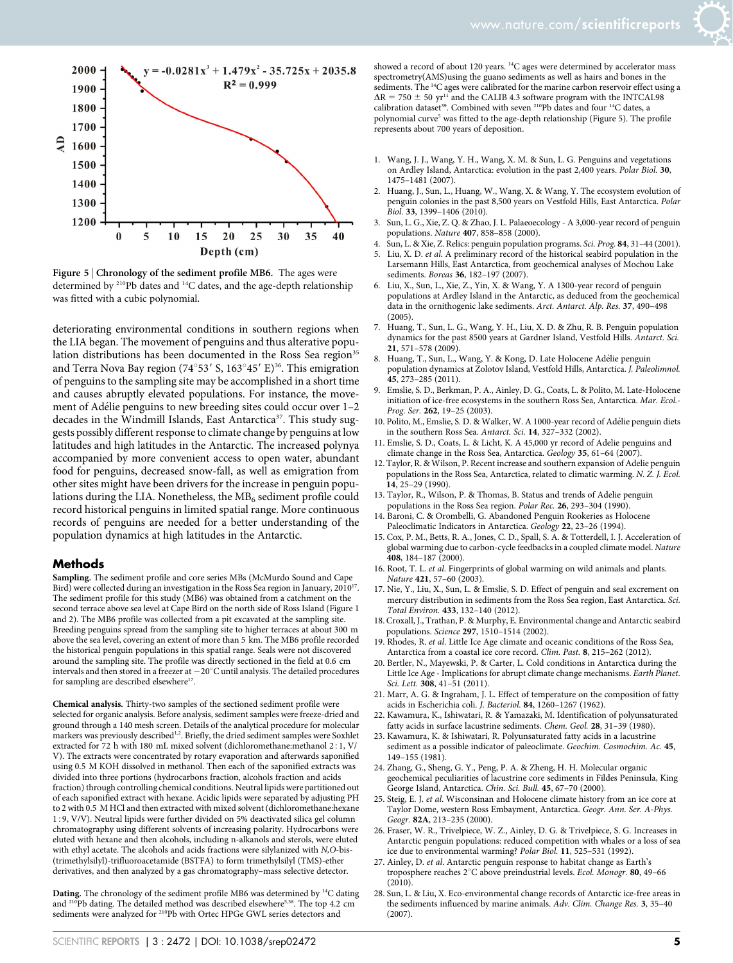

Figure 5 | Chronology of the sediment profile MB6. The ages were determined by 210Pb dates and 14C dates, and the age-depth relationship was fitted with a cubic polynomial.

deteriorating environmental conditions in southern regions when the LIA began. The movement of penguins and thus alterative population distributions has been documented in the Ross Sea region<sup>35</sup> and Terra Nova Bay region (74°53′ S, 163°45′ E)<sup>36</sup>. This emigration of penguins to the sampling site may be accomplished in a short time and causes abruptly elevated populations. For instance, the movement of Adélie penguins to new breeding sites could occur over 1-2 decades in the Windmill Islands, East Antarctica<sup>37</sup>. This study suggests possibly different response to climate change by penguins at low latitudes and high latitudes in the Antarctic. The increased polynya accompanied by more convenient access to open water, abundant food for penguins, decreased snow-fall, as well as emigration from other sites might have been drivers for the increase in penguin populations during the LIA. Nonetheless, the  $MB<sub>6</sub>$  sediment profile could record historical penguins in limited spatial range. More continuous records of penguins are needed for a better understanding of the population dynamics at high latitudes in the Antarctic.

#### Methods

Sampling. The sediment profile and core series MBs (McMurdo Sound and Cape Bird) were collected during an investigation in the Ross Sea region in January, 2010<sup>17</sup>. The sediment profile for this study (MB6) was obtained from a catchment on the second terrace above sea level at Cape Bird on the north side of Ross Island (Figure 1 and 2). The MB6 profile was collected from a pit excavated at the sampling site. Breeding penguins spread from the sampling site to higher terraces at about 300 m above the sea level, covering an extent of more than 5 km. The MB6 profile recorded the historical penguin populations in this spatial range. Seals were not discovered around the sampling site. The profile was directly sectioned in the field at 0.6 cm intervals and then stored in a freezer at  $-20^{\circ}$ C until analysis. The detailed procedures for sampling are described elsewhere<sup>17</sup>.

Chemical analysis. Thirty-two samples of the sectioned sediment profile were selected for organic analysis. Before analysis, sediment samples were freeze-dried and ground through a 140 mesh screen. Details of the analytical procedure for molecular markers was previously described<sup>1,2</sup>. Briefly, the dried sediment samples were Soxhlet extracted for 72 h with 180 mL mixed solvent (dichloromethane:methanol 2:1, V/ V). The extracts were concentrated by rotary evaporation and afterwards saponified using 0.5 M KOH dissolved in methanol. Then each of the saponified extracts was divided into three portions (hydrocarbons fraction, alcohols fraction and acids fraction) through controlling chemical conditions. Neutral lipids were partitioned out of each saponified extract with hexane. Acidic lipids were separated by adjusting PH to 2 with 0.5 M HCl and then extracted with mixed solvent (dichloromethane:hexane 159, V/V). Neutral lipids were further divided on 5% deactivated silica gel column chromatography using different solvents of increasing polarity. Hydrocarbons were eluted with hexane and then alcohols, including n-alkanols and sterols, were eluted with ethyl acetate. The alcohols and acids fractions were silylanized with N,O-bis- (trimethylsilyl)-trifluoroacetamide (BSTFA) to form trimethylsilyl (TMS)-ether derivatives, and then analyzed by a gas chromatography–mass selective detector.

Dating. The chronology of the sediment profile MB6 was determined by <sup>14</sup>C dating and <sup>210</sup>Pb dating. The detailed method was described elsewhere<sup>5,38</sup>. The top 4.2 cm sediments were analyzed for 210Pb with Ortec HPGe GWL series detectors and

- 1. Wang, J. J., Wang, Y. H., Wang, X. M. & Sun, L. G. Penguins and vegetations on Ardley Island, Antarctica: evolution in the past 2,400 years. Polar Biol. 30, 1475–1481 (2007).
- 2. Huang, J., Sun, L., Huang, W., Wang, X. & Wang, Y. The ecosystem evolution of penguin colonies in the past 8,500 years on Vestfold Hills, East Antarctica. Polar Biol. 33, 1399–1406 (2010).
- 3. Sun, L. G., Xie, Z. Q. & Zhao, J. L. Palaeoecology A 3,000-year record of penguin populations. Nature 407, 858–858 (2000).
- 4. Sun, L. & Xie, Z. Relics: penguin population programs. Sci. Prog. 84, 31–44 (2001).
- 5. Liu, X. D. et al. A preliminary record of the historical seabird population in the Larsemann Hills, East Antarctica, from geochemical analyses of Mochou Lake sediments. Boreas 36, 182-197 (2007).
- 6. Liu, X., Sun, L., Xie, Z., Yin, X. & Wang, Y. A 1300-year record of penguin populations at Ardley Island in the Antarctic, as deduced from the geochemical data in the ornithogenic lake sediments. Arct. Antarct. Alp. Res. 37, 490–498 (2005).
- 7. Huang, T., Sun, L. G., Wang, Y. H., Liu, X. D. & Zhu, R. B. Penguin population dynamics for the past 8500 years at Gardner Island, Vestfold Hills. Antarct. Sci. 21, 571–578 (2009).
- 8. Huang, T., Sun, L., Wang, Y. & Kong, D. Late Holocene Adélie penguin population dynamics at Zolotov Island, Vestfold Hills, Antarctica. J. Paleolimnol. 45, 273–285 (2011).
- 9. Emslie, S. D., Berkman, P. A., Ainley, D. G., Coats, L. & Polito, M. Late-Holocene initiation of ice-free ecosystems in the southern Ross Sea, Antarctica. Mar. Ecol.- Prog. Ser. 262, 19–25 (2003).
- 10. Polito, M., Emslie, S. D. & Walker, W. A 1000-year record of Adélie penguin diets in the southern Ross Sea. Antarct. Sci. 14, 327–332 (2002).
- 11. Emslie, S. D., Coats, L. & Licht, K. A 45,000 yr record of Adelie penguins and climate change in the Ross Sea, Antarctica. Geology 35, 61–64 (2007).
- 12. Taylor, R. & Wilson, P. Recent increase and southern expansion of Adelie penguin populations in the Ross Sea, Antarctica, related to climatic warming. N. Z. J. Ecol. 14, 25–29 (1990).
- 13. Taylor, R., Wilson, P. & Thomas, B. Status and trends of Adelie penguin populations in the Ross Sea region. Polar Rec. 26, 293–304 (1990).
- 14. Baroni, C. & Orombelli, G. Abandoned Penguin Rookeries as Holocene Paleoclimatic Indicators in Antarctica. Geology 22, 23–26 (1994).
- 15. Cox, P. M., Betts, R. A., Jones, C. D., Spall, S. A. & Totterdell, I. J. Acceleration of global warming due to carbon-cycle feedbacks in a coupled climate model. Nature 408, 184–187 (2000).
- 16. Root, T. L. et al. Fingerprints of global warming on wild animals and plants. Nature 421, 57–60 (2003).
- 17. Nie, Y., Liu, X., Sun, L. & Emslie, S. D. Effect of penguin and seal excrement on mercury distribution in sediments from the Ross Sea region, East Antarctica. Sci. Total Environ. 433, 132–140 (2012).
- 18. Croxall, J., Trathan, P. & Murphy, E. Environmental change and Antarctic seabird populations. Science 297, 1510–1514 (2002).
- 19. Rhodes, R. et al. Little Ice Age climate and oceanic conditions of the Ross Sea, Antarctica from a coastal ice core record. Clim. Past. 8, 215–262 (2012).
- 20. Bertler, N., Mayewski, P. & Carter, L. Cold conditions in Antarctica during the Little Ice Age - Implications for abrupt climate change mechanisms. Earth Planet. Sci. Lett. 308, 41-51 (2011).
- 21. Marr, A. G. & Ingraham, J. L. Effect of temperature on the composition of fatty acids in Escherichia coli. J. Bacteriol. 84, 1260–1267 (1962).
- 22. Kawamura, K., Ishiwatari, R. & Yamazaki, M. Identification of polyunsaturated fatty acids in surface lacustrine sediments. Chem. Geol. 28, 31–39 (1980).
- 23. Kawamura, K. & Ishiwatari, R. Polyunsaturated fatty acids in a lacustrine sediment as a possible indicator of paleoclimate. Geochim. Cosmochim. Ac. 45, 149–155 (1981).
- 24. Zhang, G., Sheng, G. Y., Peng, P. A. & Zheng, H. H. Molecular organic geochemical peculiarities of lacustrine core sediments in Fildes Peninsula, King George Island, Antarctica. Chin. Sci. Bull. 45, 67–70 (2000).
- 25. Steig, E. J. et al. Wisconsinan and Holocene climate history from an ice core at Taylor Dome, western Ross Embayment, Antarctica. Geogr. Ann. Ser. A-Phys. Geogr. 82A, 213–235 (2000).
- 26. Fraser, W. R., Trivelpiece, W. Z., Ainley, D. G. & Trivelpiece, S. G. Increases in Antarctic penguin populations: reduced competition with whales or a loss of sea ice due to environmental warming? Polar Biol. 11, 525–531 (1992).
- 27. Ainley, D. et al. Antarctic penguin response to habitat change as Earth's troposphere reaches 2°C above preindustrial levels. Ecol. Monogr. 80, 49-66 (2010).
- 28. Sun, L. & Liu, X. Eco-environmental change records of Antarctic ice-free areas in the sediments influenced by marine animals. Adv. Clim. Change Res. 3, 35–40 (2007).